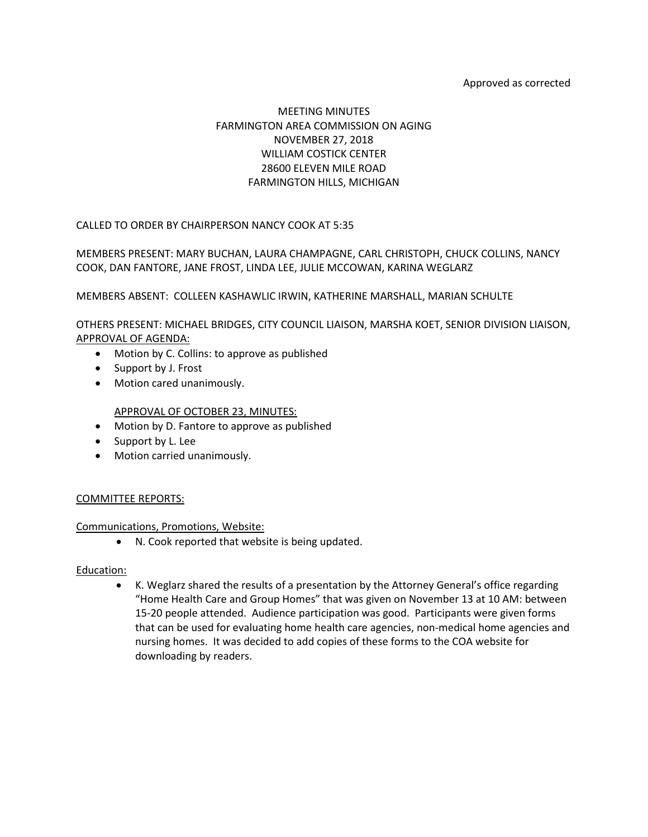#### Approved as corrected

# MEETING MINUTES FARMINGTON AREA COMMISSION ON AGING NOVEMBER 27, 2018 WILLIAM COSTICK CENTER 28600 ELEVEN MILE ROAD FARMINGTON HILLS, MICHIGAN

CALLED TO ORDER BY CHAIRPERSON NANCY COOK AT 5:35

MEMBERS PRESENT: MARY BUCHAN, LAURA CHAMPAGNE, CARL CHRISTOPH, CHUCK COLLINS, NANCY COOK, DAN FANTORE, JANE FROST, LINDA LEE, JULIE MCCOWAN, KARINA WEGLARZ

MEMBERS ABSENT: COLLEEN KASHAWLIC IRWIN, KATHERINE MARSHALL, MARIAN SCHULTE

OTHERS PRESENT: MICHAEL BRIDGES, CITY COUNCIL LIAISON, MARSHA KOET, SENIOR DIVISION LIAISON, APPROVAL OF AGENDA:

- Motion by C. Collins: to approve as published
- Support by J. Frost
- Motion cared unanimously.

APPROVAL OF OCTOBER 23, MINUTES:

- Motion by D. Fantore to approve as published
- Support by L. Lee
- Motion carried unanimously.

#### COMMITTEE REPORTS:

#### Communications, Promotions, Website:

• N. Cook reported that website is being updated.

#### Education:

• K. Weglarz shared the results of a presentation by the Attorney General's office regarding "Home Health Care and Group Homes" that was given on November 13 at 10 AM: between 15-20 people attended. Audience participation was good. Participants were given forms that can be used for evaluating home health care agencies, non-medical home agencies and nursing homes. It was decided to add copies of these forms to the COA website for downloading by readers.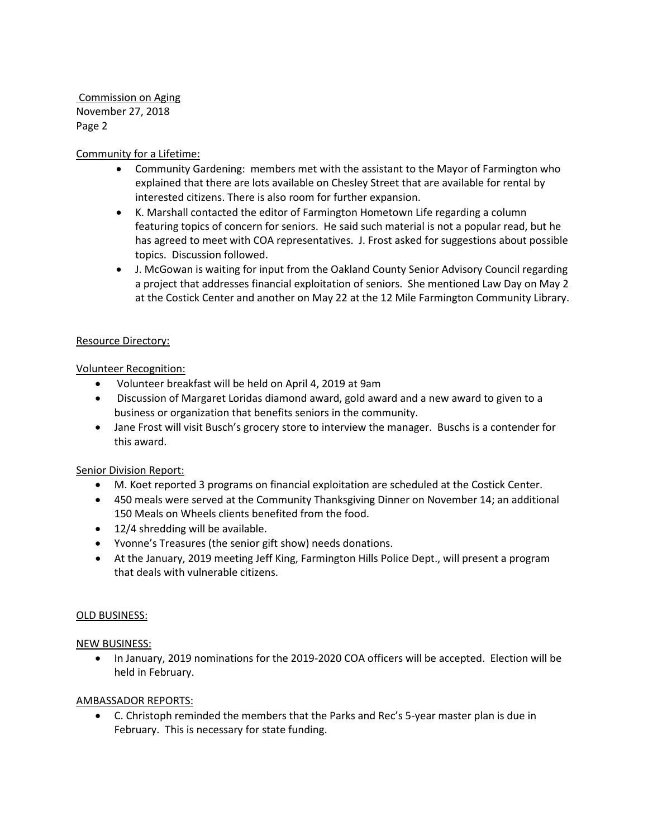Commission on Aging November 27, 2018 Page 2

## Community for a Lifetime:

- Community Gardening: members met with the assistant to the Mayor of Farmington who explained that there are lots available on Chesley Street that are available for rental by interested citizens. There is also room for further expansion.
- K. Marshall contacted the editor of Farmington Hometown Life regarding a column featuring topics of concern for seniors. He said such material is not a popular read, but he has agreed to meet with COA representatives. J. Frost asked for suggestions about possible topics. Discussion followed.
- J. McGowan is waiting for input from the Oakland County Senior Advisory Council regarding a project that addresses financial exploitation of seniors. She mentioned Law Day on May 2 at the Costick Center and another on May 22 at the 12 Mile Farmington Community Library.

### Resource Directory:

## Volunteer Recognition:

- Volunteer breakfast will be held on April 4, 2019 at 9am
- Discussion of Margaret Loridas diamond award, gold award and a new award to given to a business or organization that benefits seniors in the community.
- Jane Frost will visit Busch's grocery store to interview the manager. Buschs is a contender for this award.

### Senior Division Report:

- M. Koet reported 3 programs on financial exploitation are scheduled at the Costick Center.
- 450 meals were served at the Community Thanksgiving Dinner on November 14; an additional 150 Meals on Wheels clients benefited from the food.
- 12/4 shredding will be available.
- Yvonne's Treasures (the senior gift show) needs donations.
- At the January, 2019 meeting Jeff King, Farmington Hills Police Dept., will present a program that deals with vulnerable citizens.

### OLD BUSINESS:

### NEW BUSINESS:

• In January, 2019 nominations for the 2019-2020 COA officers will be accepted. Election will be held in February.

### AMBASSADOR REPORTS:

• C. Christoph reminded the members that the Parks and Rec's 5-year master plan is due in February. This is necessary for state funding.